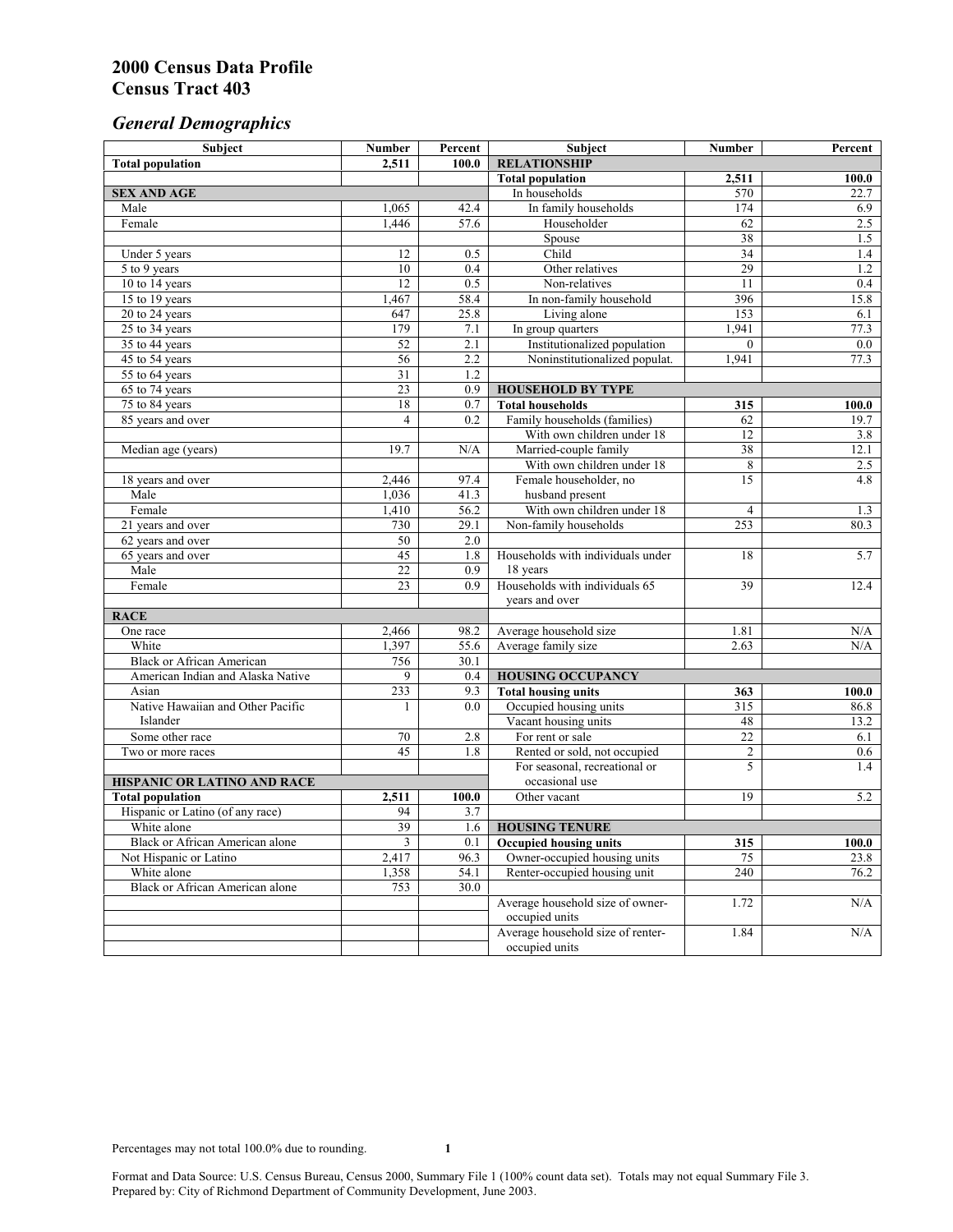# *General Demographics*

| Subject                           | <b>Number</b>                      | Percent                 | Subject                                                    | <b>Number</b>   | Percent     |
|-----------------------------------|------------------------------------|-------------------------|------------------------------------------------------------|-----------------|-------------|
| <b>Total population</b>           | 2,511                              | 100.0                   | <b>RELATIONSHIP</b>                                        |                 |             |
|                                   |                                    |                         | <b>Total population</b>                                    | 2,511           | 100.0       |
| <b>SEX AND AGE</b>                |                                    |                         | In households                                              | 570             | 22.7        |
| Male                              | 1,065                              | 42.4                    | In family households                                       | 174             | 6.9         |
| Female                            | 1,446                              | 57.6                    | Householder                                                | 62              | 2.5         |
|                                   |                                    |                         | Spouse                                                     | 38              | 1.5         |
| Under 5 years                     | 12                                 | 0.5                     | Child                                                      | 34              | 1.4         |
| 5 to 9 years                      | 10                                 | 0.4                     | Other relatives                                            | 29              | 1.2         |
| 10 to 14 years                    | 12                                 | 0.5                     | Non-relatives                                              | 11              | 0.4         |
| 15 to 19 years                    | 1,467                              | 58.4                    | In non-family household                                    | 396             | 15.8        |
| 20 to 24 years                    | 647                                | 25.8                    | Living alone                                               | 153             | 6.1         |
| $25 \text{ to } 34$ years         | 179                                | 7.1                     | In group quarters                                          | 1,941           | 77.3        |
| 35 to 44 years                    | $\overline{52}$                    | 2.1                     | Institutionalized population                               | $\theta$        | 0.0         |
| 45 to 54 years                    | 56                                 | 2.2                     | Noninstitutionalized populat.                              | 1,941           | 77.3        |
| 55 to 64 years                    | $\overline{31}$<br>$\overline{23}$ | 1.2<br>$\overline{0.9}$ |                                                            |                 |             |
| 65 to 74 years                    |                                    |                         | <b>HOUSEHOLD BY TYPE</b>                                   |                 |             |
| 75 to 84 years                    | 18<br>$\overline{4}$               | 0.7                     | <b>Total households</b>                                    | 315             | 100.0       |
| 85 years and over                 |                                    | 0.2                     | Family households (families)<br>With own children under 18 | 62<br>12        | 19.7        |
|                                   | 19.7                               | N/A                     | Married-couple family                                      | 38              | 3.8<br>12.1 |
| Median age (years)                |                                    |                         | With own children under 18                                 | 8               | 2.5         |
| 18 years and over                 | 2,446                              | 97.4                    | Female householder, no                                     | 15              | 4.8         |
| Male                              | 1,036                              | 41.3                    | husband present                                            |                 |             |
| Female                            | 1,410                              | 56.2                    | With own children under 18                                 | $\overline{4}$  | 1.3         |
| 21 years and over                 | 730                                | 29.1                    | Non-family households                                      | 253             | 80.3        |
| 62 years and over                 | 50                                 | 2.0                     |                                                            |                 |             |
| 65 years and over                 | 45                                 | 1.8                     | Households with individuals under                          | 18              | 5.7         |
| Male                              | $\overline{22}$                    | 0.9                     | 18 years                                                   |                 |             |
| Female                            | $\overline{23}$                    | 0.9                     | Households with individuals 65                             | 39              | 12.4        |
|                                   |                                    |                         | years and over                                             |                 |             |
| <b>RACE</b>                       |                                    |                         |                                                            |                 |             |
| One race                          | 2,466                              | 98.2                    | Average household size                                     | 1.81            | $\rm N/A$   |
| White                             | 1,397                              | 55.6                    | Average family size                                        | 2.63            | N/A         |
| <b>Black or African American</b>  | 756                                | 30.1                    |                                                            |                 |             |
| American Indian and Alaska Native | 9                                  | 0.4                     | <b>HOUSING OCCUPANCY</b>                                   |                 |             |
| Asian                             | 233                                | 9.3                     | <b>Total housing units</b>                                 | 363             | 100.0       |
| Native Hawaiian and Other Pacific | 1                                  | 0.0                     | Occupied housing units                                     | 315             | 86.8        |
| Islander                          |                                    |                         | Vacant housing units                                       | 48              | 13.2        |
| Some other race                   | 70                                 | 2.8                     | For rent or sale                                           | $\overline{22}$ | 6.1         |
| Two or more races                 | 45                                 | 1.8                     | Rented or sold, not occupied                               | $\overline{c}$  | 0.6         |
|                                   |                                    |                         | For seasonal, recreational or                              | 5               | 1.4         |
| HISPANIC OR LATINO AND RACE       |                                    |                         | occasional use                                             |                 |             |
| <b>Total population</b>           | 2,511                              | 100.0                   | Other vacant                                               | 19              | 5.2         |
| Hispanic or Latino (of any race)  | 94                                 | 3.7                     |                                                            |                 |             |
| White alone                       | 39                                 | 1.6                     | <b>HOUSING TENURE</b>                                      |                 |             |
| Black or African American alone   | 3                                  | 0.1                     | <b>Occupied housing units</b>                              | 315             | 100.0       |
| Not Hispanic or Latino            | 2,417                              | 96.3                    | Owner-occupied housing units                               | 75              | 23.8        |
| White alone                       | 1,358                              | 54.1                    | Renter-occupied housing unit                               | 240             | 76.2        |
| Black or African American alone   | 753                                | 30.0                    |                                                            |                 |             |
|                                   |                                    |                         | Average household size of owner-                           | 1.72            | N/A         |
|                                   |                                    |                         | occupied units                                             |                 |             |
|                                   |                                    |                         | Average household size of renter-                          | 1.84            | N/A         |
|                                   |                                    |                         | occupied units                                             |                 |             |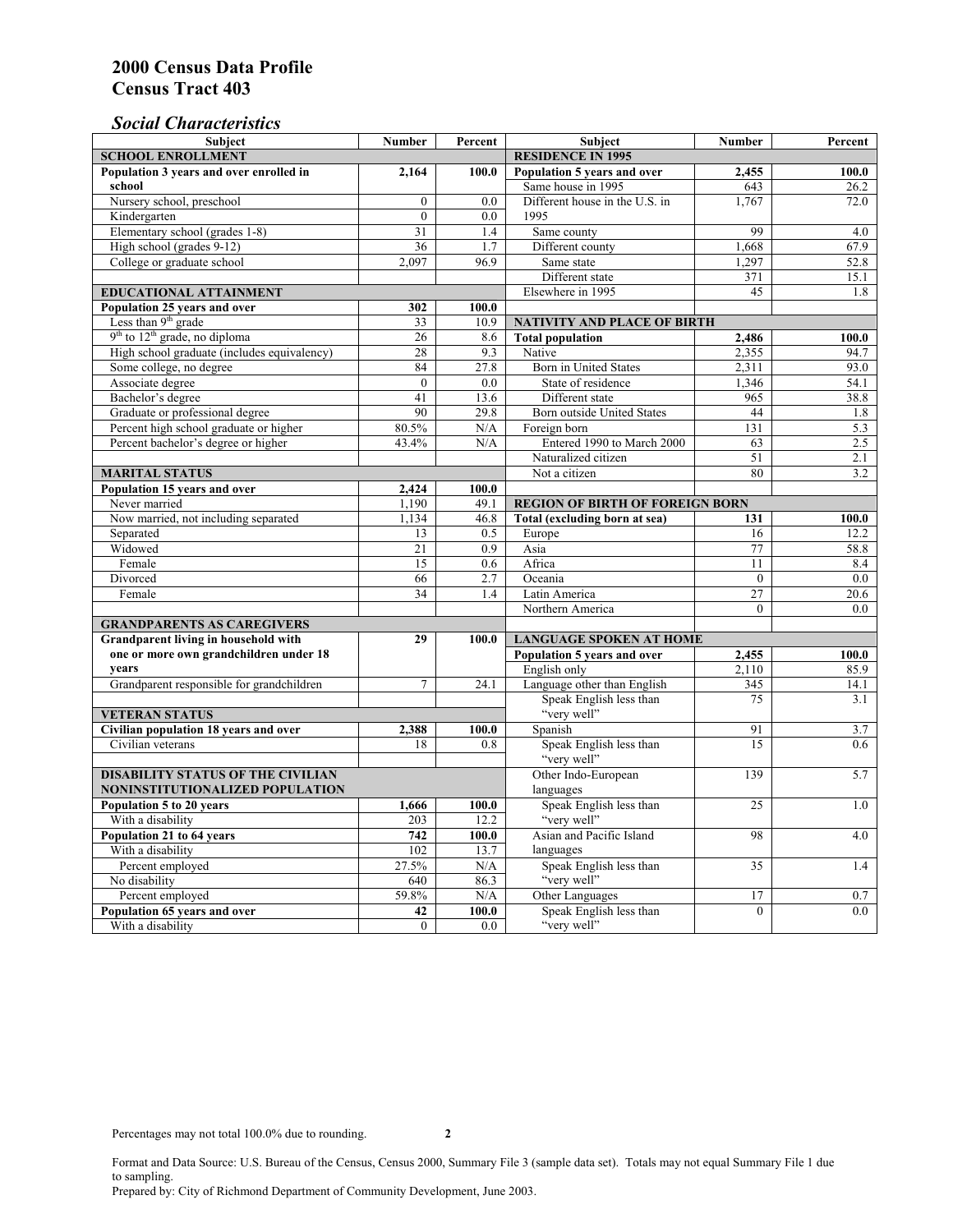## *Social Characteristics*

| <b>Subject</b>                              | <b>Number</b>            | Percent       | <b>Subject</b>                         | <b>Number</b>   | Percent |
|---------------------------------------------|--------------------------|---------------|----------------------------------------|-----------------|---------|
| <b>SCHOOL ENROLLMENT</b>                    | <b>RESIDENCE IN 1995</b> |               |                                        |                 |         |
| Population 3 years and over enrolled in     | 2,164                    | 100.0         | Population 5 years and over            | 2,455           | 100.0   |
| school                                      |                          |               | Same house in 1995                     | 643             | 26.2    |
| Nursery school, preschool                   | $\mathbf{0}$             | 0.0           | Different house in the U.S. in         | 1.767           | 72.0    |
| Kindergarten                                | $\overline{0}$           | 0.0           | 1995                                   |                 |         |
| Elementary school (grades 1-8)              | 31                       | 1.4           | Same county                            | 99              | 4.0     |
| High school (grades 9-12)                   | $\overline{36}$          | 1.7           | Different county                       | 1,668           | 67.9    |
| College or graduate school                  | 2.097                    | 96.9          | Same state                             | 1,297           | 52.8    |
|                                             |                          |               | Different state                        | 371             | 15.1    |
| EDUCATIONAL ATTAINMENT                      |                          |               | Elsewhere in 1995                      | 45              | 1.8     |
| Population 25 years and over                | 302                      | 100.0         |                                        |                 |         |
| Less than 9 <sup>th</sup> grade             | 33                       | 10.9          | NATIVITY AND PLACE OF BIRTH            |                 |         |
| $9th$ to $12th$ grade, no diploma           | 26                       | 8.6           | <b>Total population</b>                | 2,486           | 100.0   |
| High school graduate (includes equivalency) | 28                       | 9.3           | Native                                 | 2,355           | 94.7    |
| Some college, no degree                     | 84                       | 27.8          | <b>Born</b> in United States           | 2,311           | 93.0    |
| Associate degree                            | $\theta$                 | 0.0           | State of residence                     | 1,346           | 54.1    |
| Bachelor's degree                           | 41                       | 13.6          | Different state                        | 965             | 38.8    |
| Graduate or professional degree             | 90                       | 29.8          | Born outside United States             | 44              | 1.8     |
| Percent high school graduate or higher      | 80.5%                    | N/A           | Foreign born                           | 131             | 5.3     |
| Percent bachelor's degree or higher         | 43.4%                    | N/A           | Entered 1990 to March 2000             | 63              | 2.5     |
|                                             |                          |               | Naturalized citizen                    | 51              | 2.1     |
| <b>MARITAL STATUS</b>                       |                          | Not a citizen | 80                                     | 3.2             |         |
| Population 15 years and over                | 2,424                    | 100.0         |                                        |                 |         |
| Never married                               | 1,190                    | 49.1          | <b>REGION OF BIRTH OF FOREIGN BORN</b> |                 |         |
| Now married, not including separated        | 1,134                    | 46.8          | Total (excluding born at sea)          | 131             | 100.0   |
| Separated                                   | 13                       | 0.5           | Europe                                 | 16              | 12.2    |
| Widowed                                     | 21                       | 0.9           | Asia                                   | 77              | 58.8    |
| Female                                      | 15                       | 0.6           | Africa                                 | 11              | 8.4     |
| Divorced                                    | 66                       | 2.7           | Oceania                                | $\Omega$        | 0.0     |
| Female                                      | 34                       | 1.4           | Latin America                          | $\overline{27}$ | 20.6    |
|                                             |                          |               | Northern America                       | $\theta$        | 0.0     |
| <b>GRANDPARENTS AS CAREGIVERS</b>           |                          |               |                                        |                 |         |
| Grandparent living in household with<br>29  |                          | 100.0         | <b>LANGUAGE SPOKEN AT HOME</b>         |                 |         |
| one or more own grandchildren under 18      |                          |               | Population 5 years and over            | 2,455           | 100.0   |
| years                                       |                          |               | English only                           | 2,110           | 85.9    |
| Grandparent responsible for grandchildren   | $\overline{7}$           | 24.1          | Language other than English            | 345             | 14.1    |
|                                             |                          |               | Speak English less than<br>"very well" | 75              | 3.1     |
| <b>VETERAN STATUS</b>                       |                          |               |                                        | 91              |         |
| Civilian population 18 years and over       | 2,388                    | 100.0         | Spanish                                | 15              | 3.7     |
| Civilian veterans                           | 18                       | 0.8           | Speak English less than<br>"very well" |                 | 0.6     |
| <b>DISABILITY STATUS OF THE CIVILIAN</b>    | Other Indo-European      | 139           | 5.7                                    |                 |         |
| NONINSTITUTIONALIZED POPULATION             | languages                |               |                                        |                 |         |
| Population 5 to 20 years                    | 1,666                    | 100.0         | Speak English less than                | 25              | 1.0     |
| With a disability                           | 203                      | 12.2          | "very well"                            |                 |         |
| Population 21 to 64 years                   | 742                      | 100.0         | Asian and Pacific Island               | 98              | 4.0     |
| With a disability                           | 102                      | 13.7          | languages                              |                 |         |
| Percent employed                            | 27.5%                    | N/A           | Speak English less than                | 35              | 1.4     |
| No disability                               | 640                      | 86.3          | "very well"                            |                 |         |
| Percent employed                            | 59.8%                    | $\rm N/A$     | Other Languages                        | 17              | 0.7     |
| Population 65 years and over                | 42                       | 100.0         | Speak English less than                | $\overline{0}$  | 0.0     |
| With a disability                           | $\theta$                 | 0.0           | "very well"                            |                 |         |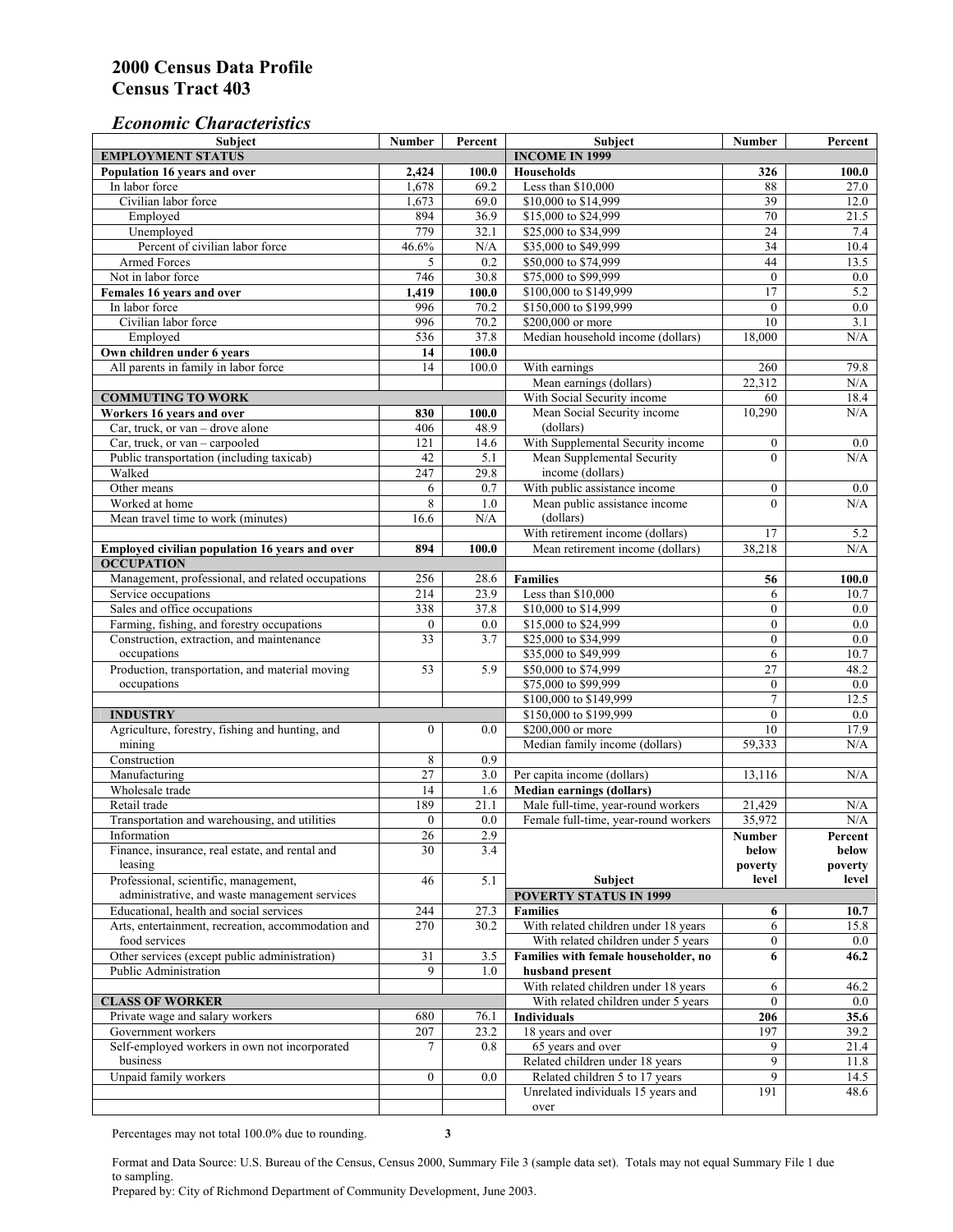#### *Economic Characteristics*

| <b>Subject</b>                                                      | Number           | Percent               | Subject                               | Number           | Percent          |
|---------------------------------------------------------------------|------------------|-----------------------|---------------------------------------|------------------|------------------|
| <b>EMPLOYMENT STATUS</b>                                            |                  | <b>INCOME IN 1999</b> |                                       |                  |                  |
| Population 16 years and over                                        | 2,424            | 100.0                 | <b>Households</b>                     | 326              | 100.0            |
| In labor force                                                      | 1,678            | 69.2                  | Less than \$10,000                    | 88               | 27.0             |
| Civilian labor force                                                | 1,673            | 69.0                  | \$10,000 to \$14,999                  | 39               | 12.0             |
| Employed                                                            | 894              | 36.9                  | \$15,000 to \$24,999                  | 70               | 21.5             |
| Unemployed                                                          | 779              | 32.1                  | \$25,000 to \$34,999                  | $\overline{24}$  | 7.4              |
| Percent of civilian labor force                                     | 46.6%            | N/A                   | \$35,000 to \$49,999                  | 34               | 10.4             |
| Armed Forces                                                        | 5                | 0.2                   | \$50,000 to \$74,999                  | 44               | 13.5             |
| Not in labor force                                                  | 746              | 30.8                  | \$75,000 to \$99,999                  | $\mathbf{0}$     | $0.0\,$          |
| Females 16 years and over                                           | 1,419            | 100.0                 | \$100,000 to \$149,999                | 17               | 5.2              |
| In labor force                                                      | 996              | 70.2                  | \$150,000 to \$199,999                | $\mathbf{0}$     | $\overline{0.0}$ |
| Civilian labor force                                                | 996              | 70.2                  | \$200,000 or more                     | 10               | 3.1              |
| Employed                                                            | 536              | 37.8                  | Median household income (dollars)     | 18.000           | N/A              |
| Own children under 6 years                                          | 14               | 100.0                 |                                       |                  |                  |
| All parents in family in labor force                                | 14               | 100.0                 | With earnings                         | 260              | 79.8             |
|                                                                     |                  |                       | Mean earnings (dollars)               | 22,312           | N/A              |
| <b>COMMUTING TO WORK</b>                                            |                  |                       | With Social Security income           | 60               | 18.4             |
| Workers 16 years and over                                           | 830              | 100.0                 | Mean Social Security income           | 10,290           | N/A              |
| Car, truck, or van – drove alone                                    | 406              | 48.9                  | (dollars)                             |                  |                  |
| Car, truck, or van - carpooled                                      | 121              | 14.6                  | With Supplemental Security income     | $\boldsymbol{0}$ | $0.0\,$          |
| Public transportation (including taxicab)                           | 42               | 5.1                   | Mean Supplemental Security            | $\theta$         | N/A              |
| Walked                                                              | 247              | 29.8                  | income (dollars)                      |                  |                  |
| Other means                                                         | 6                | 0.7                   | With public assistance income         | $\boldsymbol{0}$ | $0.0\,$          |
| Worked at home                                                      | 8                | 1.0                   | Mean public assistance income         | $\theta$         | N/A              |
| Mean travel time to work (minutes)                                  | 16.6             | N/A                   | (dollars)                             |                  |                  |
|                                                                     |                  |                       | With retirement income (dollars)      | 17               | 5.2              |
|                                                                     | 894              | 100.0                 |                                       |                  | N/A              |
| Employed civilian population 16 years and over<br><b>OCCUPATION</b> |                  |                       | Mean retirement income (dollars)      | 38,218           |                  |
| Management, professional, and related occupations                   |                  |                       |                                       |                  |                  |
|                                                                     | 256              | 28.6<br>23.9          | <b>Families</b><br>Less than \$10,000 | 56               | 100.0            |
| Service occupations                                                 | 214              |                       |                                       | 6                | 10.7             |
| Sales and office occupations                                        | 338              | 37.8                  | \$10,000 to \$14,999                  | $\mathbf{0}$     | 0.0              |
| Farming, fishing, and forestry occupations                          | $\boldsymbol{0}$ | 0.0                   | \$15,000 to \$24,999                  | $\mathbf{0}$     | 0.0              |
| Construction, extraction, and maintenance                           | $\overline{33}$  | 3.7                   | \$25,000 to \$34,999                  | $\mathbf{0}$     | 0.0              |
| occupations                                                         |                  |                       | \$35,000 to \$49,999                  | 6                | 10.7             |
| Production, transportation, and material moving                     | 53               | 5.9                   | \$50,000 to \$74,999                  | 27               | 48.2             |
| occupations                                                         |                  |                       | \$75,000 to \$99,999                  | $\boldsymbol{0}$ | 0.0              |
|                                                                     |                  |                       | \$100,000 to \$149,999                | $\overline{7}$   | 12.5             |
| <b>INDUSTRY</b>                                                     |                  |                       | \$150,000 to \$199,999                | $\mathbf{0}$     | 0.0              |
| Agriculture, forestry, fishing and hunting, and                     | $\boldsymbol{0}$ | 0.0                   | \$200,000 or more                     | 10               | 17.9             |
| mining                                                              |                  |                       | Median family income (dollars)        | 59,333           | N/A              |
| Construction                                                        | 8                | 0.9                   |                                       |                  |                  |
| Manufacturing                                                       | $\overline{27}$  | 3.0                   | Per capita income (dollars)           | 13,116           | N/A              |
| Wholesale trade                                                     | 14               | 1.6                   | <b>Median earnings (dollars)</b>      |                  |                  |
| Retail trade                                                        | 189              | 21.1                  | Male full-time, year-round workers    | 21,429           | N/A              |
| Transportation and warehousing, and utilities                       | $\boldsymbol{0}$ | 0.0                   | Female full-time, year-round workers  | 35,972           | N/A              |
| Information                                                         | 26               | 2.9                   |                                       | Number           | Percent          |
| Finance, insurance, real estate, and rental and                     | 30               | 3.4                   |                                       | below            | below            |
| leasing                                                             |                  |                       |                                       | poverty          | poverty          |
| Professional, scientific, management,                               | 46               | 5.1                   | Subject                               | level            | level            |
| administrative, and waste management services                       |                  |                       | <b>POVERTY STATUS IN 1999</b>         |                  |                  |
| Educational, health and social services                             | 244              | 27.3                  | <b>Families</b>                       | 6                | 10.7             |
| Arts, entertainment, recreation, accommodation and                  | 270              | 30.2                  | With related children under 18 years  | 6                | 15.8             |
| food services                                                       |                  |                       | With related children under 5 years   | $\mathbf{0}$     | $0.0\,$          |
| Other services (except public administration)                       | 31               | 3.5                   | Families with female householder, no  | 6                | 46.2             |
| Public Administration                                               | 9                | 1.0                   | husband present                       |                  |                  |
|                                                                     |                  |                       | With related children under 18 years  | 6                | 46.2             |
| <b>CLASS OF WORKER</b>                                              |                  |                       | With related children under 5 years   | $\overline{0}$   | $0.0\,$          |
| Private wage and salary workers                                     | 680              | 76.1                  | Individuals                           | 206              | 35.6             |
| Government workers                                                  | 207              | 23.2                  | 18 years and over                     | 197              | 39.2             |
| Self-employed workers in own not incorporated                       | 7                | 0.8                   | 65 years and over                     | 9                | 21.4             |
| business                                                            |                  |                       | Related children under 18 years       | 9                | 11.8             |
| Unpaid family workers                                               | $\boldsymbol{0}$ | 0.0                   | Related children 5 to 17 years        | 9                | 14.5             |
|                                                                     |                  |                       | Unrelated individuals 15 years and    | 191              | 48.6             |
|                                                                     |                  |                       | over                                  |                  |                  |

Percentages may not total 100.0% due to rounding. **3** 

Format and Data Source: U.S. Bureau of the Census, Census 2000, Summary File 3 (sample data set). Totals may not equal Summary File 1 due to sampling.

Prepared by: City of Richmond Department of Community Development, June 2003.